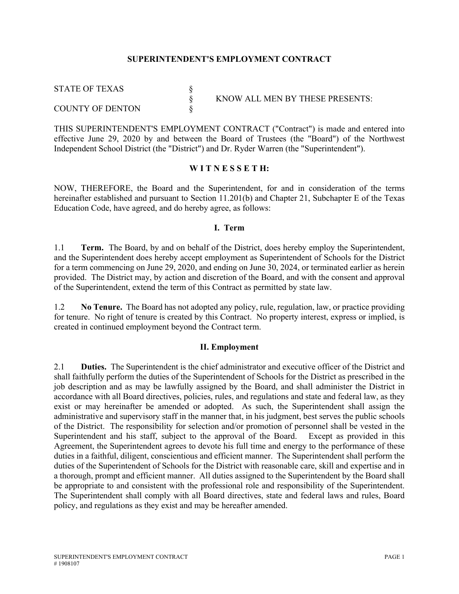#### **SUPERINTENDENT'S EMPLOYMENT CONTRACT**

STATE OF TEXAS §

COUNTY OF DENTON

§ KNOW ALL MEN BY THESE PRESENTS:

THIS SUPERINTENDENT'S EMPLOYMENT CONTRACT ("Contract") is made and entered into effective June 29, 2020 by and between the Board of Trustees (the "Board") of the Northwest Independent School District (the "District") and Dr. Ryder Warren (the "Superintendent").

#### **W I T N E S S E T H:**

NOW, THEREFORE, the Board and the Superintendent, for and in consideration of the terms hereinafter established and pursuant to Section 11.201(b) and Chapter 21, Subchapter E of the Texas Education Code, have agreed, and do hereby agree, as follows:

#### **I. Term**

1.1 **Term.** The Board, by and on behalf of the District, does hereby employ the Superintendent, and the Superintendent does hereby accept employment as Superintendent of Schools for the District for a term commencing on June 29, 2020, and ending on June 30, 2024, or terminated earlier as herein provided. The District may, by action and discretion of the Board, and with the consent and approval of the Superintendent, extend the term of this Contract as permitted by state law.

1.2 **No Tenure.** The Board has not adopted any policy, rule, regulation, law, or practice providing for tenure. No right of tenure is created by this Contract. No property interest, express or implied, is created in continued employment beyond the Contract term.

#### **II. Employment**

2.1 **Duties.** The Superintendent is the chief administrator and executive officer of the District and shall faithfully perform the duties of the Superintendent of Schools for the District as prescribed in the job description and as may be lawfully assigned by the Board, and shall administer the District in accordance with all Board directives, policies, rules, and regulations and state and federal law, as they exist or may hereinafter be amended or adopted. As such, the Superintendent shall assign the administrative and supervisory staff in the manner that, in his judgment, best serves the public schools of the District. The responsibility for selection and/or promotion of personnel shall be vested in the Superintendent and his staff, subject to the approval of the Board. Except as provided in this Agreement, the Superintendent agrees to devote his full time and energy to the performance of these duties in a faithful, diligent, conscientious and efficient manner. The Superintendent shall perform the duties of the Superintendent of Schools for the District with reasonable care, skill and expertise and in a thorough, prompt and efficient manner. All duties assigned to the Superintendent by the Board shall be appropriate to and consistent with the professional role and responsibility of the Superintendent. The Superintendent shall comply with all Board directives, state and federal laws and rules, Board policy, and regulations as they exist and may be hereafter amended.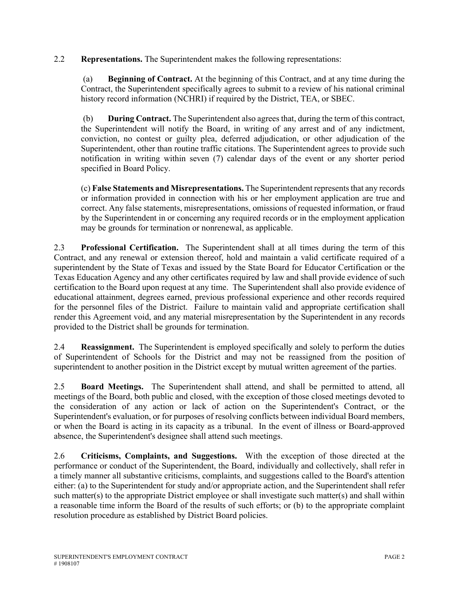2.2 **Representations.** The Superintendent makes the following representations:

 (a) **Beginning of Contract.** At the beginning of this Contract, and at any time during the Contract, the Superintendent specifically agrees to submit to a review of his national criminal history record information (NCHRI) if required by the District, TEA, or SBEC.

 (b) **During Contract.** The Superintendent also agrees that, during the term of this contract, the Superintendent will notify the Board, in writing of any arrest and of any indictment, conviction, no contest or guilty plea, deferred adjudication, or other adjudication of the Superintendent, other than routine traffic citations. The Superintendent agrees to provide such notification in writing within seven (7) calendar days of the event or any shorter period specified in Board Policy.

(c) **False Statements and Misrepresentations.** The Superintendent represents that any records or information provided in connection with his or her employment application are true and correct. Any false statements, misrepresentations, omissions of requested information, or fraud by the Superintendent in or concerning any required records or in the employment application may be grounds for termination or nonrenewal, as applicable.

2.3 **Professional Certification.** The Superintendent shall at all times during the term of this Contract, and any renewal or extension thereof, hold and maintain a valid certificate required of a superintendent by the State of Texas and issued by the State Board for Educator Certification or the Texas Education Agency and any other certificates required by law and shall provide evidence of such certification to the Board upon request at any time. The Superintendent shall also provide evidence of educational attainment, degrees earned, previous professional experience and other records required for the personnel files of the District. Failure to maintain valid and appropriate certification shall render this Agreement void, and any material misrepresentation by the Superintendent in any records provided to the District shall be grounds for termination.

2.4 **Reassignment.** The Superintendent is employed specifically and solely to perform the duties of Superintendent of Schools for the District and may not be reassigned from the position of superintendent to another position in the District except by mutual written agreement of the parties.

2.5 **Board Meetings.** The Superintendent shall attend, and shall be permitted to attend, all meetings of the Board, both public and closed, with the exception of those closed meetings devoted to the consideration of any action or lack of action on the Superintendent's Contract, or the Superintendent's evaluation, or for purposes of resolving conflicts between individual Board members, or when the Board is acting in its capacity as a tribunal. In the event of illness or Board-approved absence, the Superintendent's designee shall attend such meetings.

2.6 **Criticisms, Complaints, and Suggestions.** With the exception of those directed at the performance or conduct of the Superintendent, the Board, individually and collectively, shall refer in a timely manner all substantive criticisms, complaints, and suggestions called to the Board's attention either: (a) to the Superintendent for study and/or appropriate action, and the Superintendent shall refer such matter(s) to the appropriate District employee or shall investigate such matter(s) and shall within a reasonable time inform the Board of the results of such efforts; or (b) to the appropriate complaint resolution procedure as established by District Board policies.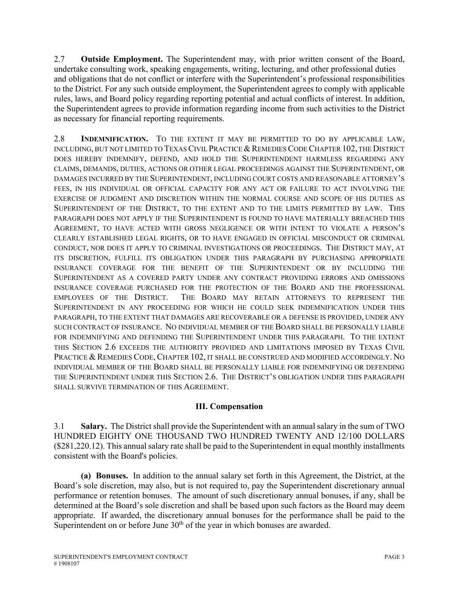2.7 **Outside Employment.** The Superintendent may, with prior written consent of the Board, undertake consulting work, speaking engagements, writing, lecturing, and other professional duties and obligations that do not conflict or interfere with the Superintendent's professional responsibilities to the District. For any such outside employment, the Superintendent agrees to comply with applicable rules, laws, and Board policy regarding reporting potential and actual conflicts of interest. In addition, the Superintendent agrees to provide information regarding income from such activities to the District as necessary for financial reporting requirements.

2.8 **INDEMNIFICATION.** TO THE EXTENT IT MAY BE PERMITTED TO DO BY APPLICABLE LAW, INCLUDING, BUT NOT LIMITED TO TEXAS CIVIL PRACTICE & REMEDIES CODE CHAPTER 102, THE DISTRICT DOES HEREBY INDEMNIFY, DEFEND, AND HOLD THE SUPERINTENDENT HARMLESS REGARDING ANY CLAIMS, DEMANDS, DUTIES, ACTIONS OR OTHER LEGAL PROCEEDINGS AGAINST THE SUPERINTENDENT, OR DAMAGES INCURRED BY THE SUPERINTENDENT, INCLUDING COURT COSTS AND REASONABLE ATTORNEY'S FEES, IN HIS INDIVIDUAL OR OFFICIAL CAPACITY FOR ANY ACT OR FAILURE TO ACT INVOLVING THE EXERCISE OF JUDGMENT AND DISCRETION WITHIN THE NORMAL COURSE AND SCOPE OF HIS DUTIES AS SUPERINTENDENT OF THE DISTRICT, TO THE EXTENT AND TO THE LIMITS PERMITTED BY LAW. THIS PARAGRAPH DOES NOT APPLY IF THE SUPERINTENDENT IS FOUND TO HAVE MATERIALLY BREACHED THIS AGREEMENT, TO HAVE ACTED WITH GROSS NEGLIGENCE OR WITH INTENT TO VIOLATE A PERSON'S CLEARLY ESTABLISHED LEGAL RIGHTS, OR TO HAVE ENGAGED IN OFFICIAL MISCONDUCT OR CRIMINAL CONDUCT, NOR DOES IT APPLY TO CRIMINAL INVESTIGATIONS OR PROCEEDINGS. THE DISTRICT MAY, AT ITS DISCRETION, FULFILL ITS OBLIGATION UNDER THIS PARAGRAPH BY PURCHASING APPROPRIATE INSURANCE COVERAGE FOR THE BENEFIT OF THE SUPERINTENDENT OR BY INCLUDING THE SUPERINTENDENT AS A COVERED PARTY UNDER ANY CONTRACT PROVIDING ERRORS AND OMISSIONS INSURANCE COVERAGE PURCHASED FOR THE PROTECTION OF THE BOARD AND THE PROFESSIONAL EMPLOYEES OF THE DISTRICT. THE BOARD MAY RETAIN ATTORNEYS TO REPRESENT THE SUPERINTENDENT IN ANY PROCEEDING FOR WHICH HE COULD SEEK INDEMNIFICATION UNDER THIS PARAGRAPH, TO THE EXTENT THAT DAMAGES ARE RECOVERABLE OR A DEFENSE IS PROVIDED, UNDER ANY SUCH CONTRACT OF INSURANCE. NO INDIVIDUAL MEMBER OF THE BOARD SHALL BE PERSONALLY LIABLE FOR INDEMNIFYING AND DEFENDING THE SUPERINTENDENT UNDER THIS PARAGRAPH. TO THE EXTENT THIS SECTION 2.6 EXCEEDS THE AUTHORITY PROVIDED AND LIMITATIONS IMPOSED BY TEXAS CIVIL PRACTICE & REMEDIES CODE, CHAPTER 102, IT SHALL BE CONSTRUED AND MODIFIED ACCORDINGLY. NO INDIVIDUAL MEMBER OF THE BOARD SHALL BE PERSONALLY LIABLE FOR INDEMNIFYING OR DEFENDING THE SUPERINTENDENT UNDER THIS SECTION 2.6. THE DISTRICT'S OBLIGATION UNDER THIS PARAGRAPH SHALL SURVIVE TERMINATION OF THIS AGREEMENT.

#### **III. Compensation**

3.1 **Salary.** The District shall provide the Superintendent with an annual salary in the sum of TWO HUNDRED EIGHTY ONE THOUSAND TWO HUNDRED TWENTY AND 12/100 DOLLARS (\$281,220.12). This annual salary rate shall be paid to the Superintendent in equal monthly installments consistent with the Board's policies.

**(a) Bonuses.** In addition to the annual salary set forth in this Agreement, the District, at the Board's sole discretion, may also, but is not required to, pay the Superintendent discretionary annual performance or retention bonuses. The amount of such discretionary annual bonuses, if any, shall be determined at the Board's sole discretion and shall be based upon such factors as the Board may deem appropriate. If awarded, the discretionary annual bonuses for the performance shall be paid to the Superintendent on or before June  $30<sup>th</sup>$  of the year in which bonuses are awarded.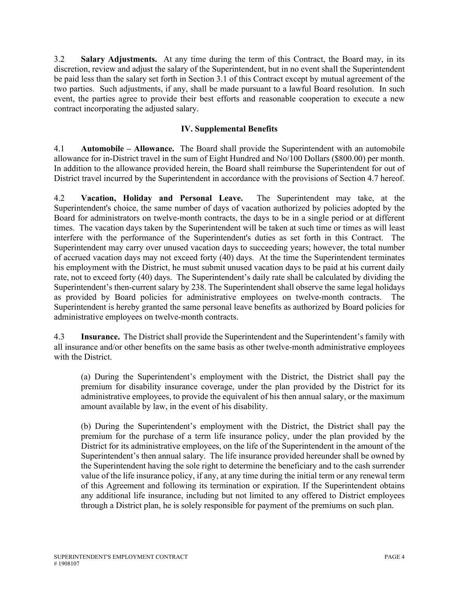3.2 **Salary Adjustments.** At any time during the term of this Contract, the Board may, in its discretion, review and adjust the salary of the Superintendent, but in no event shall the Superintendent be paid less than the salary set forth in Section 3.1 of this Contract except by mutual agreement of the two parties. Such adjustments, if any, shall be made pursuant to a lawful Board resolution. In such event, the parties agree to provide their best efforts and reasonable cooperation to execute a new contract incorporating the adjusted salary.

#### **IV. Supplemental Benefits**

4.1 **Automobile – Allowance.** The Board shall provide the Superintendent with an automobile allowance for in-District travel in the sum of Eight Hundred and No/100 Dollars (\$800.00) per month. In addition to the allowance provided herein, the Board shall reimburse the Superintendent for out of District travel incurred by the Superintendent in accordance with the provisions of Section 4.7 hereof.

4.2 **Vacation, Holiday and Personal Leave.** The Superintendent may take, at the Superintendent's choice, the same number of days of vacation authorized by policies adopted by the Board for administrators on twelve-month contracts, the days to be in a single period or at different times. The vacation days taken by the Superintendent will be taken at such time or times as will least interfere with the performance of the Superintendent's duties as set forth in this Contract. The Superintendent may carry over unused vacation days to succeeding years; however, the total number of accrued vacation days may not exceed forty (40) days. At the time the Superintendent terminates his employment with the District, he must submit unused vacation days to be paid at his current daily rate, not to exceed forty (40) days. The Superintendent's daily rate shall be calculated by dividing the Superintendent's then-current salary by 238. The Superintendent shall observe the same legal holidays as provided by Board policies for administrative employees on twelve-month contracts. The Superintendent is hereby granted the same personal leave benefits as authorized by Board policies for administrative employees on twelve-month contracts.

4.3 **Insurance.** The District shall provide the Superintendent and the Superintendent's family with all insurance and/or other benefits on the same basis as other twelve-month administrative employees with the District.

(a) During the Superintendent's employment with the District, the District shall pay the premium for disability insurance coverage, under the plan provided by the District for its administrative employees, to provide the equivalent of his then annual salary, or the maximum amount available by law, in the event of his disability.

(b) During the Superintendent's employment with the District, the District shall pay the premium for the purchase of a term life insurance policy, under the plan provided by the District for its administrative employees, on the life of the Superintendent in the amount of the Superintendent's then annual salary. The life insurance provided hereunder shall be owned by the Superintendent having the sole right to determine the beneficiary and to the cash surrender value of the life insurance policy, if any, at any time during the initial term or any renewal term of this Agreement and following its termination or expiration. If the Superintendent obtains any additional life insurance, including but not limited to any offered to District employees through a District plan, he is solely responsible for payment of the premiums on such plan.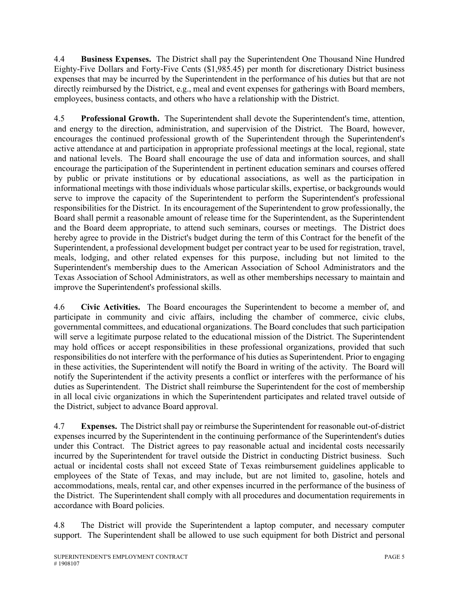4.4 **Business Expenses.** The District shall pay the Superintendent One Thousand Nine Hundred Eighty-Five Dollars and Forty-Five Cents (\$1,985.45) per month for discretionary District business expenses that may be incurred by the Superintendent in the performance of his duties but that are not directly reimbursed by the District, e.g., meal and event expenses for gatherings with Board members, employees, business contacts, and others who have a relationship with the District.

4.5 **Professional Growth.** The Superintendent shall devote the Superintendent's time, attention, and energy to the direction, administration, and supervision of the District. The Board, however, encourages the continued professional growth of the Superintendent through the Superintendent's active attendance at and participation in appropriate professional meetings at the local, regional, state and national levels. The Board shall encourage the use of data and information sources, and shall encourage the participation of the Superintendent in pertinent education seminars and courses offered by public or private institutions or by educational associations, as well as the participation in informational meetings with those individuals whose particular skills, expertise, or backgrounds would serve to improve the capacity of the Superintendent to perform the Superintendent's professional responsibilities for the District. In its encouragement of the Superintendent to grow professionally, the Board shall permit a reasonable amount of release time for the Superintendent, as the Superintendent and the Board deem appropriate, to attend such seminars, courses or meetings. The District does hereby agree to provide in the District's budget during the term of this Contract for the benefit of the Superintendent, a professional development budget per contract year to be used for registration, travel, meals, lodging, and other related expenses for this purpose, including but not limited to the Superintendent's membership dues to the American Association of School Administrators and the Texas Association of School Administrators, as well as other memberships necessary to maintain and improve the Superintendent's professional skills.

4.6 **Civic Activities.** The Board encourages the Superintendent to become a member of, and participate in community and civic affairs, including the chamber of commerce, civic clubs, governmental committees, and educational organizations. The Board concludes that such participation will serve a legitimate purpose related to the educational mission of the District. The Superintendent may hold offices or accept responsibilities in these professional organizations, provided that such responsibilities do not interfere with the performance of his duties as Superintendent. Prior to engaging in these activities, the Superintendent will notify the Board in writing of the activity. The Board will notify the Superintendent if the activity presents a conflict or interferes with the performance of his duties as Superintendent. The District shall reimburse the Superintendent for the cost of membership in all local civic organizations in which the Superintendent participates and related travel outside of the District, subject to advance Board approval.

4.7 **Expenses.** The District shall pay or reimburse the Superintendent for reasonable out-of-district expenses incurred by the Superintendent in the continuing performance of the Superintendent's duties under this Contract. The District agrees to pay reasonable actual and incidental costs necessarily incurred by the Superintendent for travel outside the District in conducting District business. Such actual or incidental costs shall not exceed State of Texas reimbursement guidelines applicable to employees of the State of Texas, and may include, but are not limited to, gasoline, hotels and accommodations, meals, rental car, and other expenses incurred in the performance of the business of the District. The Superintendent shall comply with all procedures and documentation requirements in accordance with Board policies.

4.8 The District will provide the Superintendent a laptop computer, and necessary computer support. The Superintendent shall be allowed to use such equipment for both District and personal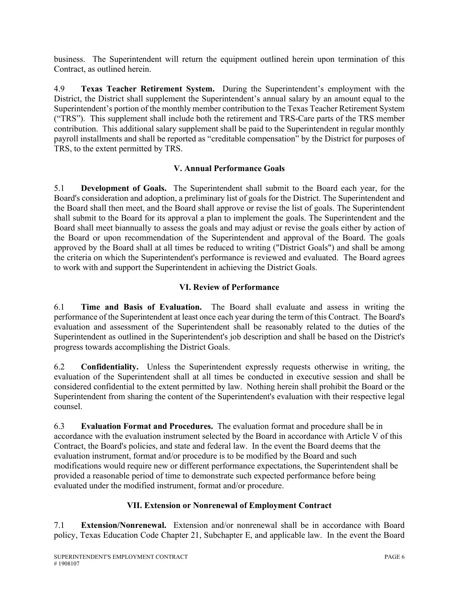business. The Superintendent will return the equipment outlined herein upon termination of this Contract, as outlined herein.

4.9 **Texas Teacher Retirement System.** During the Superintendent's employment with the District, the District shall supplement the Superintendent's annual salary by an amount equal to the Superintendent's portion of the monthly member contribution to the Texas Teacher Retirement System ("TRS"). This supplement shall include both the retirement and TRS-Care parts of the TRS member contribution. This additional salary supplement shall be paid to the Superintendent in regular monthly payroll installments and shall be reported as "creditable compensation" by the District for purposes of TRS, to the extent permitted by TRS.

## **V. Annual Performance Goals**

5.1 **Development of Goals.** The Superintendent shall submit to the Board each year, for the Board's consideration and adoption, a preliminary list of goals for the District. The Superintendent and the Board shall then meet, and the Board shall approve or revise the list of goals. The Superintendent shall submit to the Board for its approval a plan to implement the goals. The Superintendent and the Board shall meet biannually to assess the goals and may adjust or revise the goals either by action of the Board or upon recommendation of the Superintendent and approval of the Board. The goals approved by the Board shall at all times be reduced to writing ("District Goals") and shall be among the criteria on which the Superintendent's performance is reviewed and evaluated. The Board agrees to work with and support the Superintendent in achieving the District Goals.

## **VI. Review of Performance**

6.1 **Time and Basis of Evaluation.** The Board shall evaluate and assess in writing the performance of the Superintendent at least once each year during the term of this Contract. The Board's evaluation and assessment of the Superintendent shall be reasonably related to the duties of the Superintendent as outlined in the Superintendent's job description and shall be based on the District's progress towards accomplishing the District Goals.

6.2 **Confidentiality.** Unless the Superintendent expressly requests otherwise in writing, the evaluation of the Superintendent shall at all times be conducted in executive session and shall be considered confidential to the extent permitted by law. Nothing herein shall prohibit the Board or the Superintendent from sharing the content of the Superintendent's evaluation with their respective legal counsel.

6.3 **Evaluation Format and Procedures.** The evaluation format and procedure shall be in accordance with the evaluation instrument selected by the Board in accordance with Article V of this Contract, the Board's policies, and state and federal law. In the event the Board deems that the evaluation instrument, format and/or procedure is to be modified by the Board and such modifications would require new or different performance expectations, the Superintendent shall be provided a reasonable period of time to demonstrate such expected performance before being evaluated under the modified instrument, format and/or procedure.

# **VII. Extension or Nonrenewal of Employment Contract**

7.1 **Extension/Nonrenewal.** Extension and/or nonrenewal shall be in accordance with Board policy, Texas Education Code Chapter 21, Subchapter E, and applicable law. In the event the Board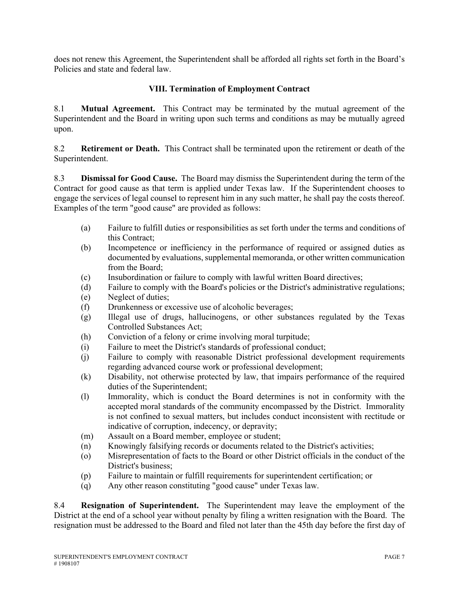does not renew this Agreement, the Superintendent shall be afforded all rights set forth in the Board's Policies and state and federal law.

## **VIII. Termination of Employment Contract**

8.1 **Mutual Agreement.** This Contract may be terminated by the mutual agreement of the Superintendent and the Board in writing upon such terms and conditions as may be mutually agreed upon.

8.2 **Retirement or Death.** This Contract shall be terminated upon the retirement or death of the Superintendent.

8.3 **Dismissal for Good Cause.** The Board may dismiss the Superintendent during the term of the Contract for good cause as that term is applied under Texas law. If the Superintendent chooses to engage the services of legal counsel to represent him in any such matter, he shall pay the costs thereof. Examples of the term "good cause" are provided as follows:

- (a) Failure to fulfill duties or responsibilities as set forth under the terms and conditions of this Contract;
- (b) Incompetence or inefficiency in the performance of required or assigned duties as documented by evaluations, supplemental memoranda, or other written communication from the Board;
- (c) Insubordination or failure to comply with lawful written Board directives;
- (d) Failure to comply with the Board's policies or the District's administrative regulations;
- (e) Neglect of duties;
- (f) Drunkenness or excessive use of alcoholic beverages;
- (g) Illegal use of drugs, hallucinogens, or other substances regulated by the Texas Controlled Substances Act;
- (h) Conviction of a felony or crime involving moral turpitude;
- (i) Failure to meet the District's standards of professional conduct;
- (j) Failure to comply with reasonable District professional development requirements regarding advanced course work or professional development;
- (k) Disability, not otherwise protected by law, that impairs performance of the required duties of the Superintendent;
- (l) Immorality, which is conduct the Board determines is not in conformity with the accepted moral standards of the community encompassed by the District. Immorality is not confined to sexual matters, but includes conduct inconsistent with rectitude or indicative of corruption, indecency, or depravity;
- (m) Assault on a Board member, employee or student;
- (n) Knowingly falsifying records or documents related to the District's activities;
- (o) Misrepresentation of facts to the Board or other District officials in the conduct of the District's business;
- (p) Failure to maintain or fulfill requirements for superintendent certification; or
- (q) Any other reason constituting "good cause" under Texas law.

8.4 **Resignation of Superintendent.** The Superintendent may leave the employment of the District at the end of a school year without penalty by filing a written resignation with the Board. The resignation must be addressed to the Board and filed not later than the 45th day before the first day of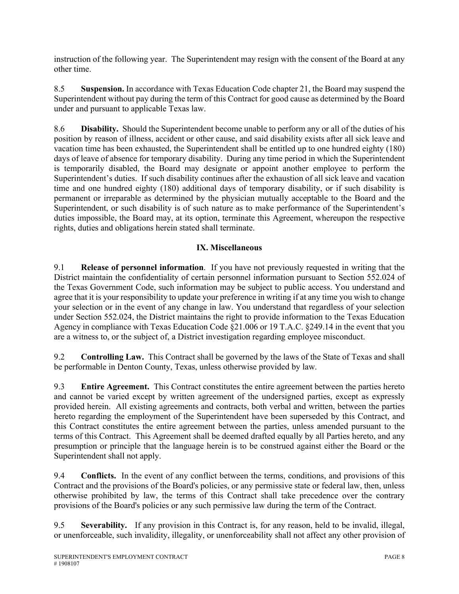instruction of the following year. The Superintendent may resign with the consent of the Board at any other time.

8.5 **Suspension.** In accordance with Texas Education Code chapter 21, the Board may suspend the Superintendent without pay during the term of this Contract for good cause as determined by the Board under and pursuant to applicable Texas law.

8.6 **Disability.** Should the Superintendent become unable to perform any or all of the duties of his position by reason of illness, accident or other cause, and said disability exists after all sick leave and vacation time has been exhausted, the Superintendent shall be entitled up to one hundred eighty (180) days of leave of absence for temporary disability. During any time period in which the Superintendent is temporarily disabled, the Board may designate or appoint another employee to perform the Superintendent's duties. If such disability continues after the exhaustion of all sick leave and vacation time and one hundred eighty (180) additional days of temporary disability, or if such disability is permanent or irreparable as determined by the physician mutually acceptable to the Board and the Superintendent, or such disability is of such nature as to make performance of the Superintendent's duties impossible, the Board may, at its option, terminate this Agreement, whereupon the respective rights, duties and obligations herein stated shall terminate.

## **IX. Miscellaneous**

9.1 **Release of personnel information**. If you have not previously requested in writing that the District maintain the confidentiality of certain personnel information pursuant to Section 552.024 of the Texas Government Code, such information may be subject to public access. You understand and agree that it is your responsibility to update your preference in writing if at any time you wish to change your selection or in the event of any change in law. You understand that regardless of your selection under Section 552.024, the District maintains the right to provide information to the Texas Education Agency in compliance with Texas Education Code §21.006 or 19 T.A.C. §249.14 in the event that you are a witness to, or the subject of, a District investigation regarding employee misconduct.

9.2 **Controlling Law.** This Contract shall be governed by the laws of the State of Texas and shall be performable in Denton County, Texas, unless otherwise provided by law.

9.3 **Entire Agreement.** This Contract constitutes the entire agreement between the parties hereto and cannot be varied except by written agreement of the undersigned parties, except as expressly provided herein. All existing agreements and contracts, both verbal and written, between the parties hereto regarding the employment of the Superintendent have been superseded by this Contract, and this Contract constitutes the entire agreement between the parties, unless amended pursuant to the terms of this Contract. This Agreement shall be deemed drafted equally by all Parties hereto, and any presumption or principle that the language herein is to be construed against either the Board or the Superintendent shall not apply.

9.4 **Conflicts.** In the event of any conflict between the terms, conditions, and provisions of this Contract and the provisions of the Board's policies, or any permissive state or federal law, then, unless otherwise prohibited by law, the terms of this Contract shall take precedence over the contrary provisions of the Board's policies or any such permissive law during the term of the Contract.

9.5 **Severability.** If any provision in this Contract is, for any reason, held to be invalid, illegal, or unenforceable, such invalidity, illegality, or unenforceability shall not affect any other provision of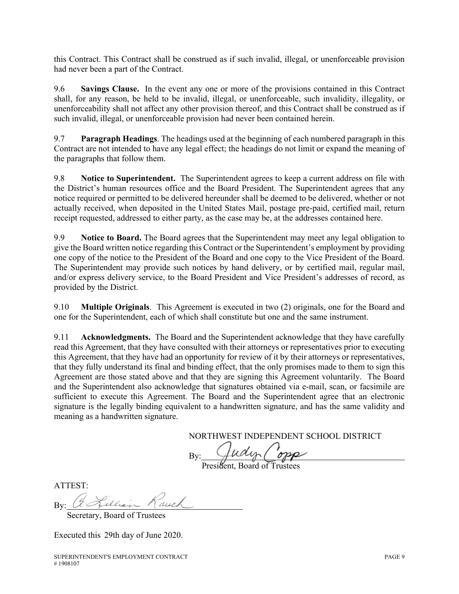this Contract. This Contract shall be construed as if such invalid, illegal, or unenforceable provision had never been a part of the Contract.

9.6 **Savings Clause.** In the event any one or more of the provisions contained in this Contract shall, for any reason, be held to be invalid, illegal, or unenforceable, such invalidity, illegality, or unenforceability shall not affect any other provision thereof, and this Contract shall be construed as if such invalid, illegal, or unenforceable provision had never been contained herein.

9.7 **Paragraph Headings**. The headings used at the beginning of each numbered paragraph in this Contract are not intended to have any legal effect; the headings do not limit or expand the meaning of the paragraphs that follow them.

9.8 **Notice to Superintendent.** The Superintendent agrees to keep a current address on file with the District's human resources office and the Board President. The Superintendent agrees that any notice required or permitted to be delivered hereunder shall be deemed to be delivered, whether or not actually received, when deposited in the United States Mail, postage pre-paid, certified mail, return receipt requested, addressed to either party, as the case may be, at the addresses contained here.

9.9 **Notice to Board.** The Board agrees that the Superintendent may meet any legal obligation to give the Board written notice regarding this Contract or the Superintendent's employment by providing one copy of the notice to the President of the Board and one copy to the Vice President of the Board. The Superintendent may provide such notices by hand delivery, or by certified mail, regular mail, and/or express delivery service, to the Board President and Vice President's addresses of record, as provided by the District.

9.10 **Multiple Originals**. This Agreement is executed in two (2) originals, one for the Board and one for the Superintendent, each of which shall constitute but one and the same instrument.

9.11 **Acknowledgments.** The Board and the Superintendent acknowledge that they have carefully read this Agreement, that they have consulted with their attorneys or representatives prior to executing this Agreement, that they have had an opportunity for review of it by their attorneys or representatives, that they fully understand its final and binding effect, that the only promises made to them to sign this Agreement are those stated above and that they are signing this Agreement voluntarily. The Board and the Superintendent also acknowledge that signatures obtained via e-mail, scan, or facsimile are sufficient to execute this Agreement. The Board and the Superintendent agree that an electronic signature is the legally binding equivalent to a handwritten signature, and has the same validity and meaning as a handwritten signature.

NORTHWEST INDEPENDENT SCHOOL DISTRICT

By:

President, Board of Trustees

ATTEST:

 $By:$ 

Secretary, Board of Trustees

Executed this 29th day of June 2020.